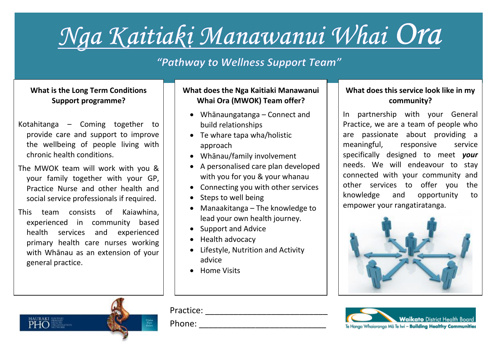# Nga Kaitiaki Manawanui Whai Ora

### "Pathway to Wellness Support Team"

#### **What is the Long Term Conditions Support programme?**

- Kotahitanga Coming together to provide care and support to improve the wellbeing of people living with chronic health conditions.
- The MWOK team will work with you & your family together with your GP, Practice Nurse and other health and social service professionals if required.
- This team consists of Kaiawhina, experienced in community based health services and experienced primary health care nurses working with Whānau as an extension of your general practice.

#### **What does the Nga Kaitiaki Manawanui Whai Ora (MWOK) Team offer?**

- Whānaungatanga Connect and build relationships
- Te whare tapa wha/holistic approach
- Whānau/family involvement
- A personalised care plan developed with you for you & your whanau
- Connecting you with other services
- Steps to well being
- Manaakitanga The knowledge to lead your own health journey.
- Support and Advice
- Health advocacy
- Lifestyle, Nutrition and Activity advice
- Home Visits

#### **What does this service look like in my community?**

In partnership with your General Practice, we are a team of people who are passionate about providing a meaningful, responsive service specifically designed to meet *your* needs. We will endeavour to stay connected with your community and other services to offer you the knowledge and opportunity to empower your rangatiratanga.









Phone:  $\blacksquare$